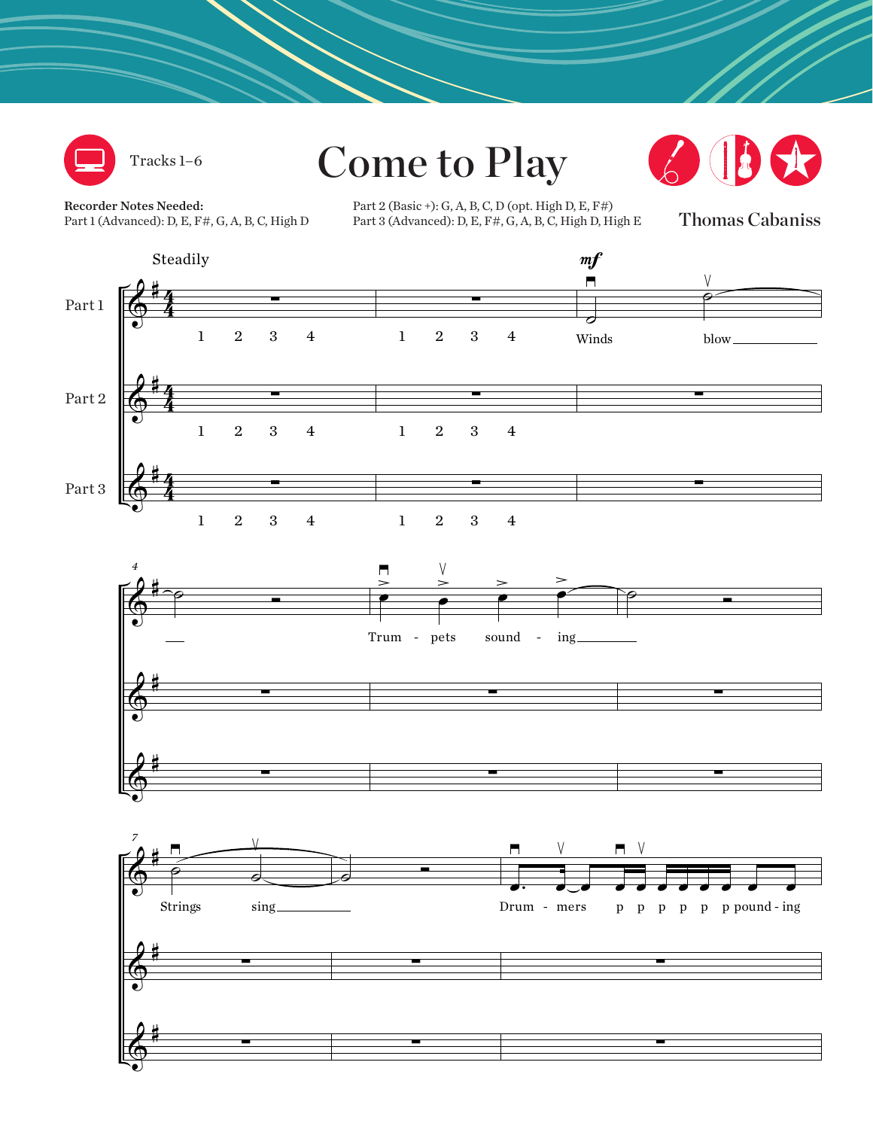

Tracks 1–6

Come to Play



Recorder Notes Needed: Part 1 (Advanced): D, E, F#, G, A, B, C, High D

Part 2 (Basic +): G, A, B, C, D (opt. High D, E, F#)<br>Part 3 (Advanced): D, E, F#, G, A, B, C, High D, H Part 3 (Advanced): D, E, F#, G, A, B, C, High D, High E

Thomas Cabaniss

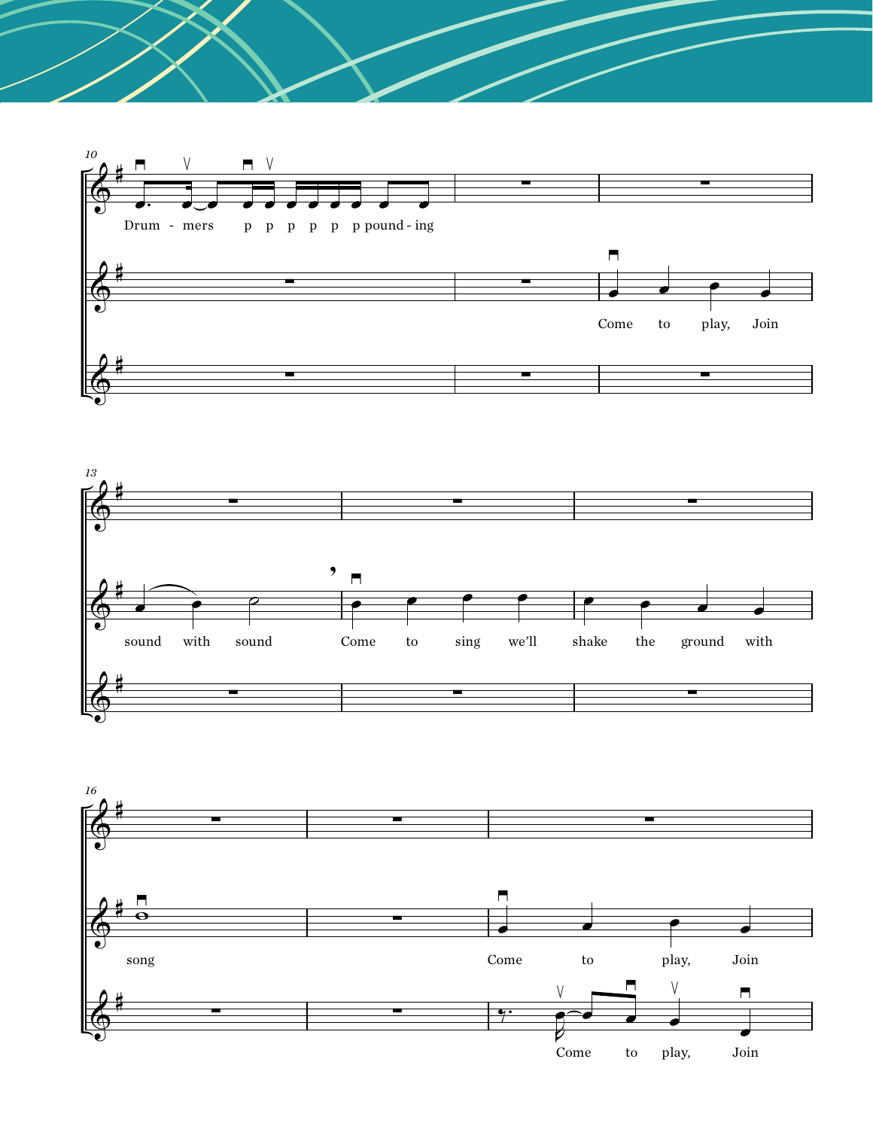



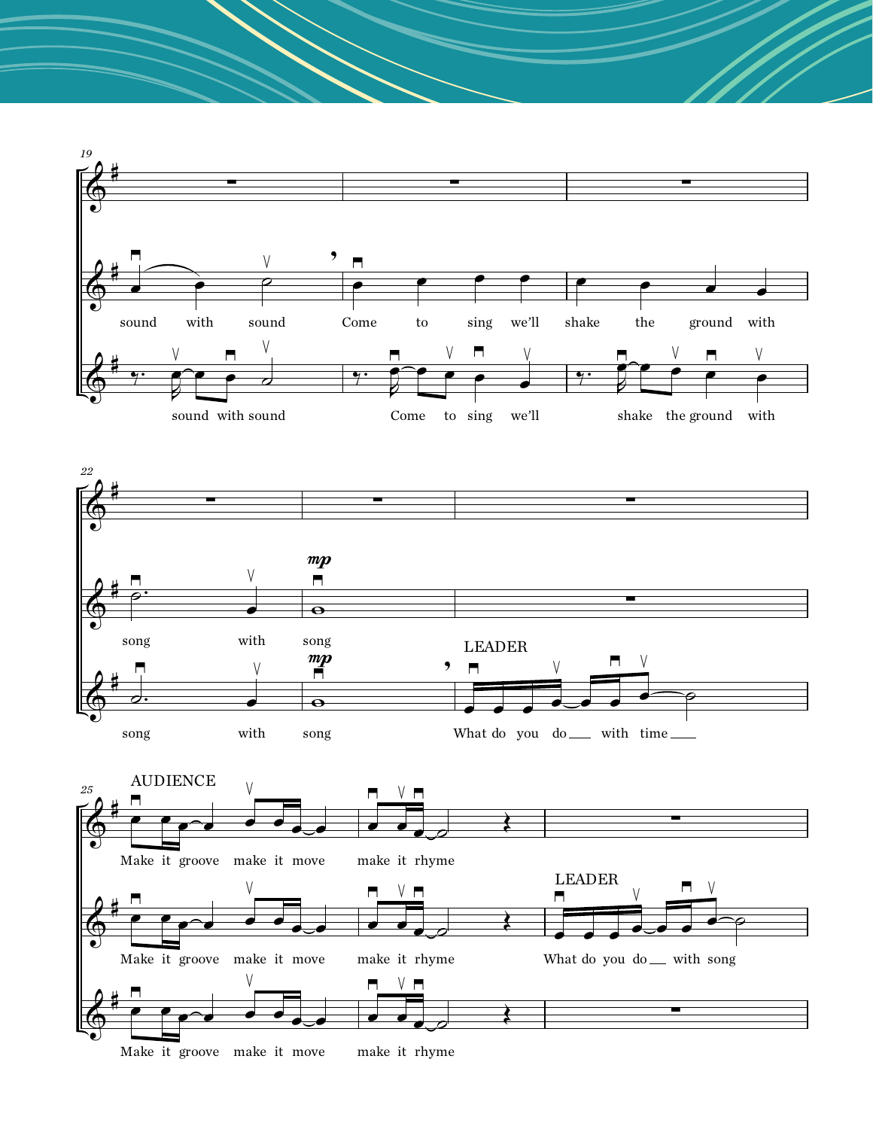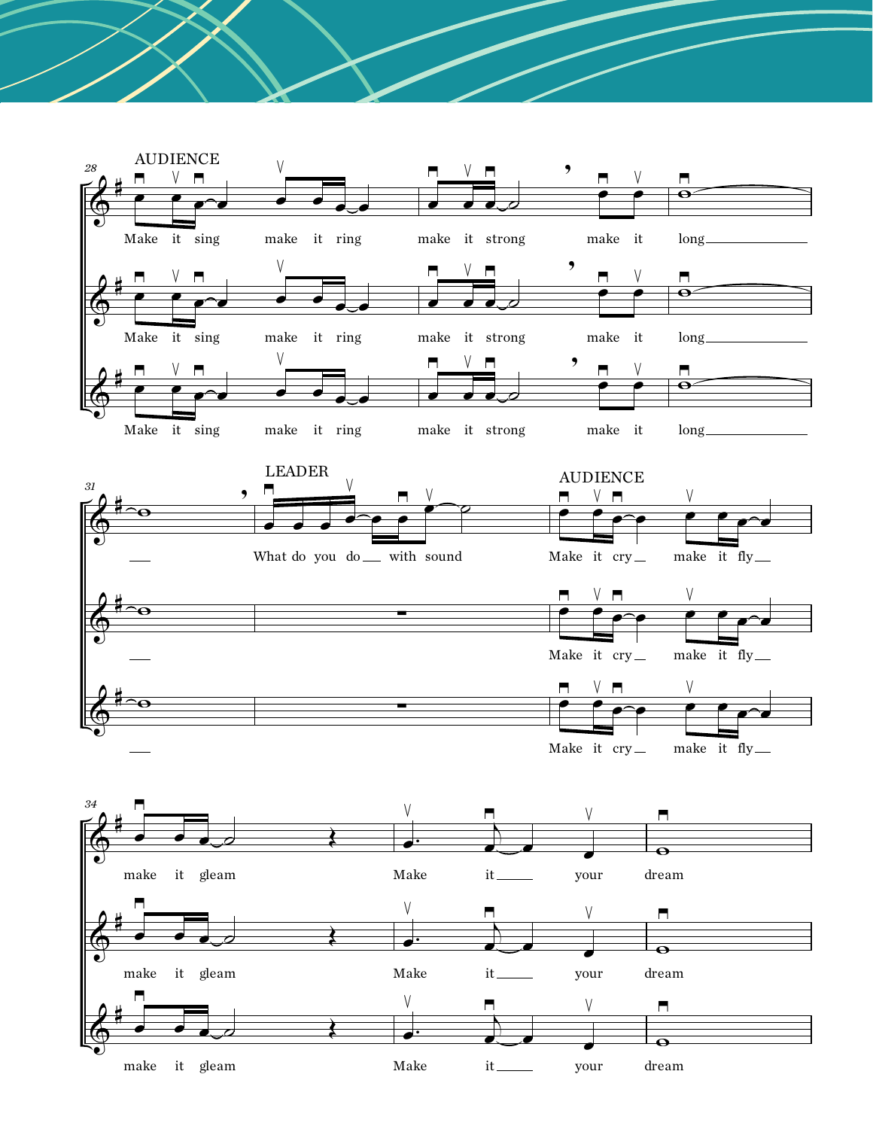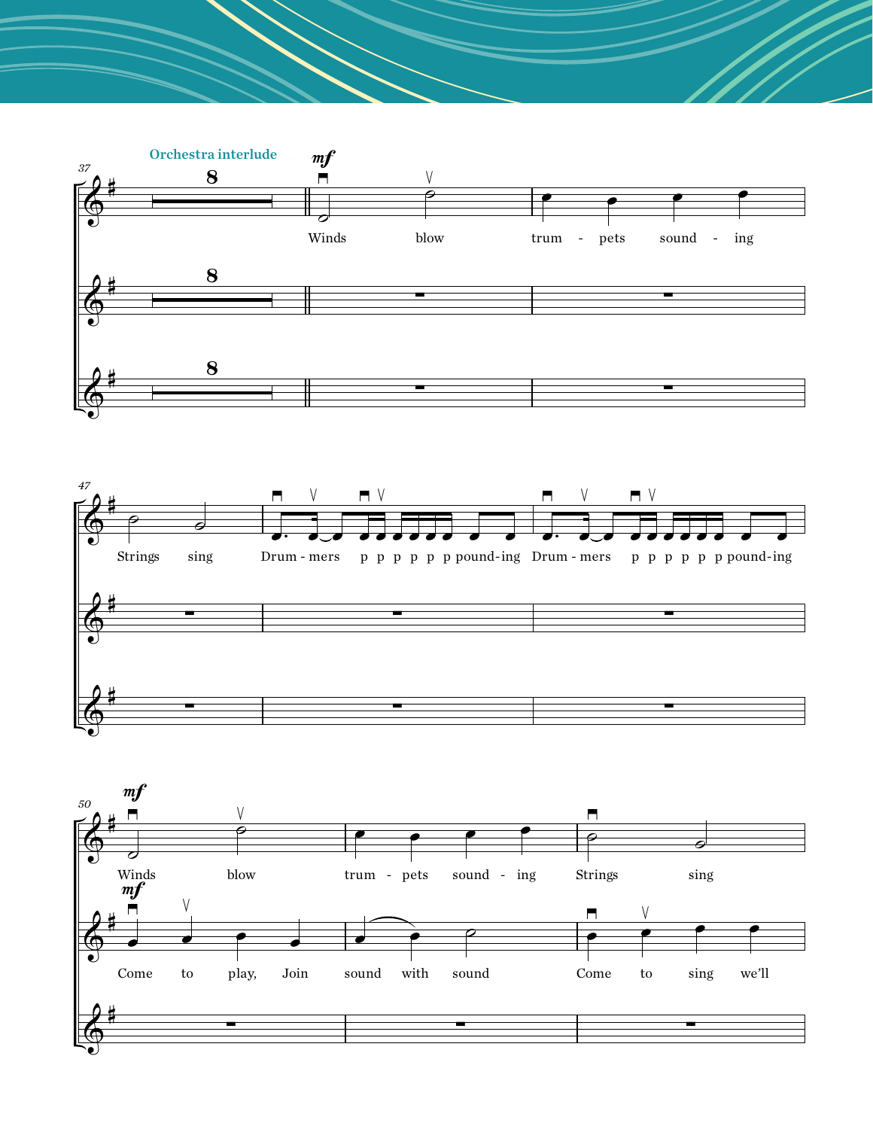